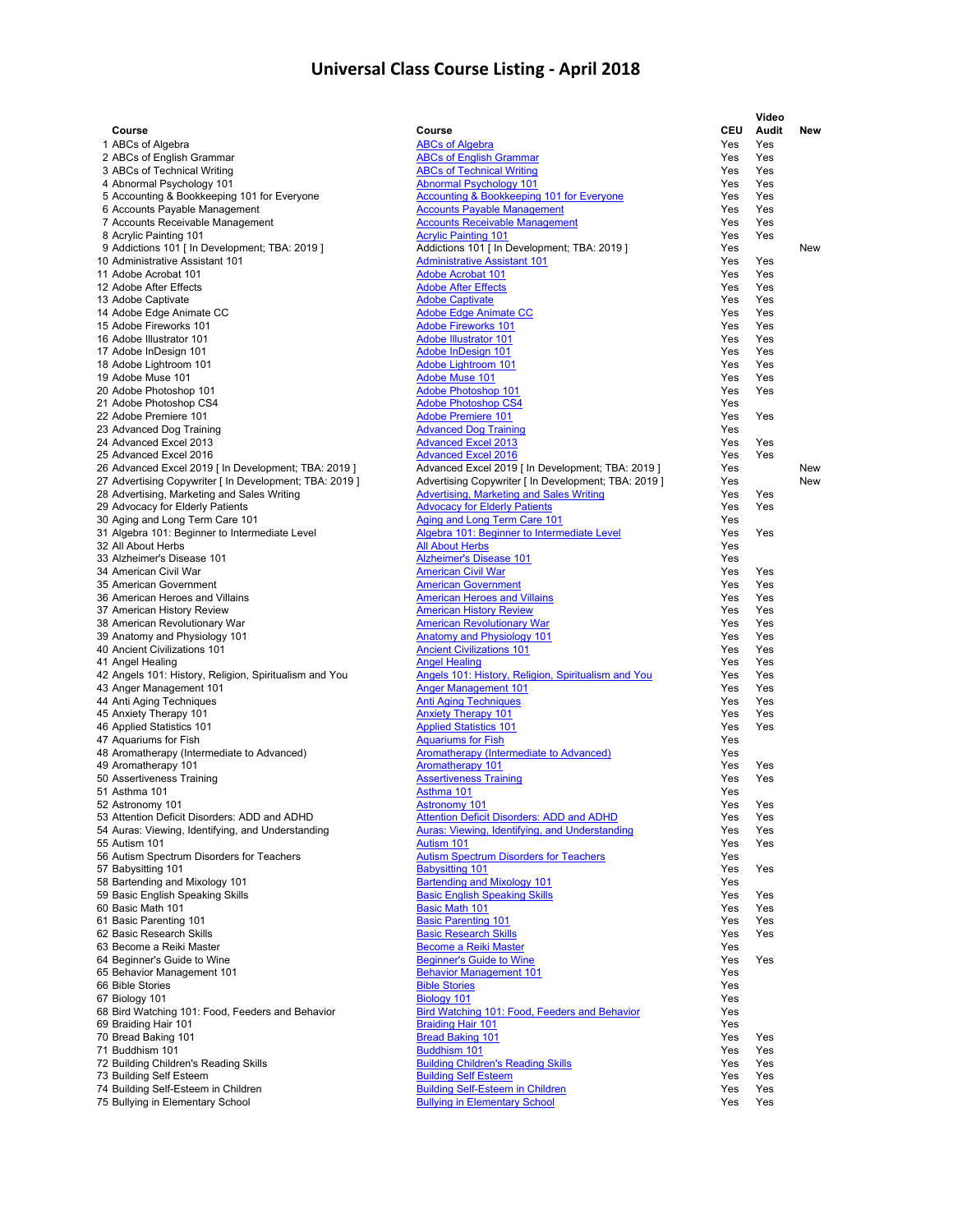| Course                                                               | Course                                                                                             | <b>CEU</b> | Video<br>Audit | New        |
|----------------------------------------------------------------------|----------------------------------------------------------------------------------------------------|------------|----------------|------------|
| 1 ABCs of Algebra                                                    | <b>ABCs of Algebra</b>                                                                             | Yes        | Yes            |            |
| 2 ABCs of English Grammar                                            | <b>ABCs of English Grammar</b>                                                                     | Yes        | Yes            |            |
| 3 ABCs of Technical Writing                                          | <b>ABCs of Technical Writing</b>                                                                   | Yes        | Yes            |            |
| 4 Abnormal Psychology 101                                            | <b>Abnormal Psychology 101</b>                                                                     | Yes        | Yes            |            |
| 5 Accounting & Bookkeeping 101 for Everyone                          | Accounting & Bookkeeping 101 for Everyone                                                          | Yes        | Yes            |            |
| 6 Accounts Payable Management                                        | <b>Accounts Payable Management</b>                                                                 | Yes        | Yes            |            |
| 7 Accounts Receivable Management<br>8 Acrylic Painting 101           | <b>Accounts Receivable Management</b><br><b>Acrylic Painting 101</b>                               | Yes<br>Yes | Yes<br>Yes     |            |
| 9 Addictions 101 [ In Development; TBA: 2019 ]                       | Addictions 101 [ In Development; TBA: 2019 ]                                                       | Yes        |                | New        |
| 10 Administrative Assistant 101                                      | <b>Administrative Assistant 101</b>                                                                | Yes        | Yes            |            |
| 11 Adobe Acrobat 101                                                 | <b>Adobe Acrobat 101</b>                                                                           | Yes        | Yes            |            |
| 12 Adobe After Effects                                               | <b>Adobe After Effects</b>                                                                         | Yes        | Yes            |            |
| 13 Adobe Captivate                                                   | <b>Adobe Captivate</b>                                                                             | Yes        | Yes            |            |
| 14 Adobe Edge Animate CC                                             | <b>Adobe Edge Animate CC</b>                                                                       | Yes        | Yes            |            |
| 15 Adobe Fireworks 101                                               | <b>Adobe Fireworks 101</b>                                                                         | Yes        | Yes            |            |
| 16 Adobe Illustrator 101                                             | <b>Adobe Illustrator 101</b>                                                                       | Yes        | Yes            |            |
| 17 Adobe InDesign 101                                                | Adobe InDesign 101                                                                                 | Yes        | Yes            |            |
| 18 Adobe Lightroom 101<br>19 Adobe Muse 101                          | <b>Adobe Lightroom 101</b><br><b>Adobe Muse 101</b>                                                | Yes<br>Yes | Yes<br>Yes     |            |
| 20 Adobe Photoshop 101                                               | Adobe Photoshop 101                                                                                | Yes        | Yes            |            |
| 21 Adobe Photoshop CS4                                               | <b>Adobe Photoshop CS4</b>                                                                         | Yes        |                |            |
| 22 Adobe Premiere 101                                                | <b>Adobe Premiere 101</b>                                                                          | Yes        | Yes            |            |
| 23 Advanced Dog Training                                             | <b>Advanced Dog Training</b>                                                                       | Yes        |                |            |
| 24 Advanced Excel 2013                                               | <b>Advanced Excel 2013</b>                                                                         | Yes        | Yes            |            |
| 25 Advanced Excel 2016                                               | <b>Advanced Excel 2016</b>                                                                         | Yes        | Yes            |            |
| 26 Advanced Excel 2019 [ In Development; TBA: 2019 ]                 | Advanced Excel 2019 [In Development; TBA: 2019 ]                                                   | Yes        |                | New        |
| 27 Advertising Copywriter [ In Development; TBA: 2019 ]              | Advertising Copywriter [ In Development; TBA: 2019 ]                                               | Yes        |                | <b>New</b> |
| 28 Advertising, Marketing and Sales Writing                          | Advertising, Marketing and Sales Writing                                                           | Yes        | Yes            |            |
| 29 Advocacy for Elderly Patients                                     | <b>Advocacy for Elderly Patients</b>                                                               | Yes        | Yes            |            |
| 30 Aging and Long Term Care 101                                      | <b>Aging and Long Term Care 101</b>                                                                | Yes        |                |            |
| 31 Algebra 101: Beginner to Intermediate Level<br>32 All About Herbs | Algebra 101: Beginner to Intermediate Level<br><b>All About Herbs</b>                              | Yes<br>Yes | Yes            |            |
| 33 Alzheimer's Disease 101                                           | <b>Alzheimer's Disease 101</b>                                                                     | Yes        |                |            |
| 34 American Civil War                                                | <b>American Civil War</b>                                                                          | Yes        | Yes            |            |
| 35 American Government                                               | <b>American Government</b>                                                                         | Yes        | Yes            |            |
| 36 American Heroes and Villains                                      | <b>American Heroes and Villains</b>                                                                | Yes        | Yes            |            |
| 37 American History Review                                           | <b>American History Review</b>                                                                     | Yes        | Yes            |            |
| 38 American Revolutionary War                                        | <b>American Revolutionary War</b>                                                                  | Yes        | Yes            |            |
| 39 Anatomy and Physiology 101                                        | <b>Anatomy and Physiology 101</b>                                                                  | Yes        | Yes            |            |
| 40 Ancient Civilizations 101                                         | <b>Ancient Civilizations 101</b>                                                                   | Yes        | Yes            |            |
| 41 Angel Healing                                                     | <b>Angel Healing</b>                                                                               | Yes        | Yes            |            |
| 42 Angels 101: History, Religion, Spiritualism and You               | Angels 101: History, Religion, Spiritualism and You                                                | Yes        | Yes            |            |
| 43 Anger Management 101<br>44 Anti Aging Techniques                  | <b>Anger Management 101</b><br><b>Anti Aging Techniques</b>                                        | Yes<br>Yes | Yes<br>Yes     |            |
| 45 Anxiety Therapy 101                                               | <b>Anxiety Therapy 101</b>                                                                         | Yes        | Yes            |            |
| 46 Applied Statistics 101                                            | <b>Applied Statistics 101</b>                                                                      | Yes        | Yes            |            |
| 47 Aquariums for Fish                                                | <b>Aquariums for Fish</b>                                                                          | Yes        |                |            |
| 48 Aromatherapy (Intermediate to Advanced)                           | Aromatherapy (Intermediate to Advanced)                                                            | Yes        |                |            |
| 49 Aromatherapy 101                                                  | <b>Aromatherapy 101</b>                                                                            | Yes        | Yes            |            |
| 50 Assertiveness Training                                            | <b>Assertiveness Training</b>                                                                      | Yes        | Yes            |            |
| 51 Asthma 101                                                        | Asthma 101                                                                                         | Yes        |                |            |
| 52 Astronomy 101                                                     | <b>Astronomy 101</b>                                                                               | Yes        | Yes            |            |
| 53 Attention Deficit Disorders: ADD and ADHD                         | <b>Attention Deficit Disorders: ADD and ADHD</b><br>Auras: Viewing, Identifying, and Understanding | Yes        | Yes            |            |
| 54 Auras: Viewing, Identifying, and Understanding<br>55 Autism 101   | Autism 101                                                                                         | Yes<br>Yes | Yes<br>Yes     |            |
| 56 Autism Spectrum Disorders for Teachers                            | <b>Autism Spectrum Disorders for Teachers</b>                                                      | Yes        |                |            |
| 57 Babysitting 101                                                   | <b>Babysitting 101</b>                                                                             | Yes        | Yes            |            |
| 58 Bartending and Mixology 101                                       | <b>Bartending and Mixology 101</b>                                                                 | Yes        |                |            |
| 59 Basic English Speaking Skills                                     | <b>Basic English Speaking Skills</b>                                                               | Yes        | Yes            |            |
| 60 Basic Math 101                                                    | <b>Basic Math 101</b>                                                                              | Yes        | Yes            |            |
| 61 Basic Parenting 101                                               | <b>Basic Parenting 101</b>                                                                         | Yes        | Yes            |            |
| 62 Basic Research Skills                                             | <b>Basic Research Skills</b>                                                                       | Yes        | Yes            |            |
| 63 Become a Reiki Master                                             | <b>Become a Reiki Master</b>                                                                       | Yes        |                |            |
| 64 Beginner's Guide to Wine                                          | <b>Beginner's Guide to Wine</b>                                                                    | Yes        | Yes            |            |
| 65 Behavior Management 101                                           | <b>Behavior Management 101</b>                                                                     | Yes        |                |            |
| 66 Bible Stories<br>67 Biology 101                                   | <b>Bible Stories</b><br>Biology 101                                                                | Yes<br>Yes |                |            |
| 68 Bird Watching 101: Food, Feeders and Behavior                     | <b>Bird Watching 101: Food, Feeders and Behavior</b>                                               | Yes        |                |            |
| 69 Braiding Hair 101                                                 | <b>Braiding Hair 101</b>                                                                           | Yes        |                |            |
| 70 Bread Baking 101                                                  | <b>Bread Baking 101</b>                                                                            | Yes        | Yes            |            |
| 71 Buddhism 101                                                      | Buddhism 101                                                                                       | Yes        | Yes            |            |
| 72 Building Children's Reading Skills                                | <b>Building Children's Reading Skills</b>                                                          | Yes        | Yes            |            |
| 73 Building Self Esteem                                              | <b>Building Self Esteem</b>                                                                        | Yes        | Yes            |            |
| 74 Building Self-Esteem in Children                                  | <b>Building Self-Esteem in Children</b>                                                            | Yes        | Yes            |            |
| 75 Bullying in Elementary School                                     | <b>Bullying in Elementary School</b>                                                               | Yes        | Yes            |            |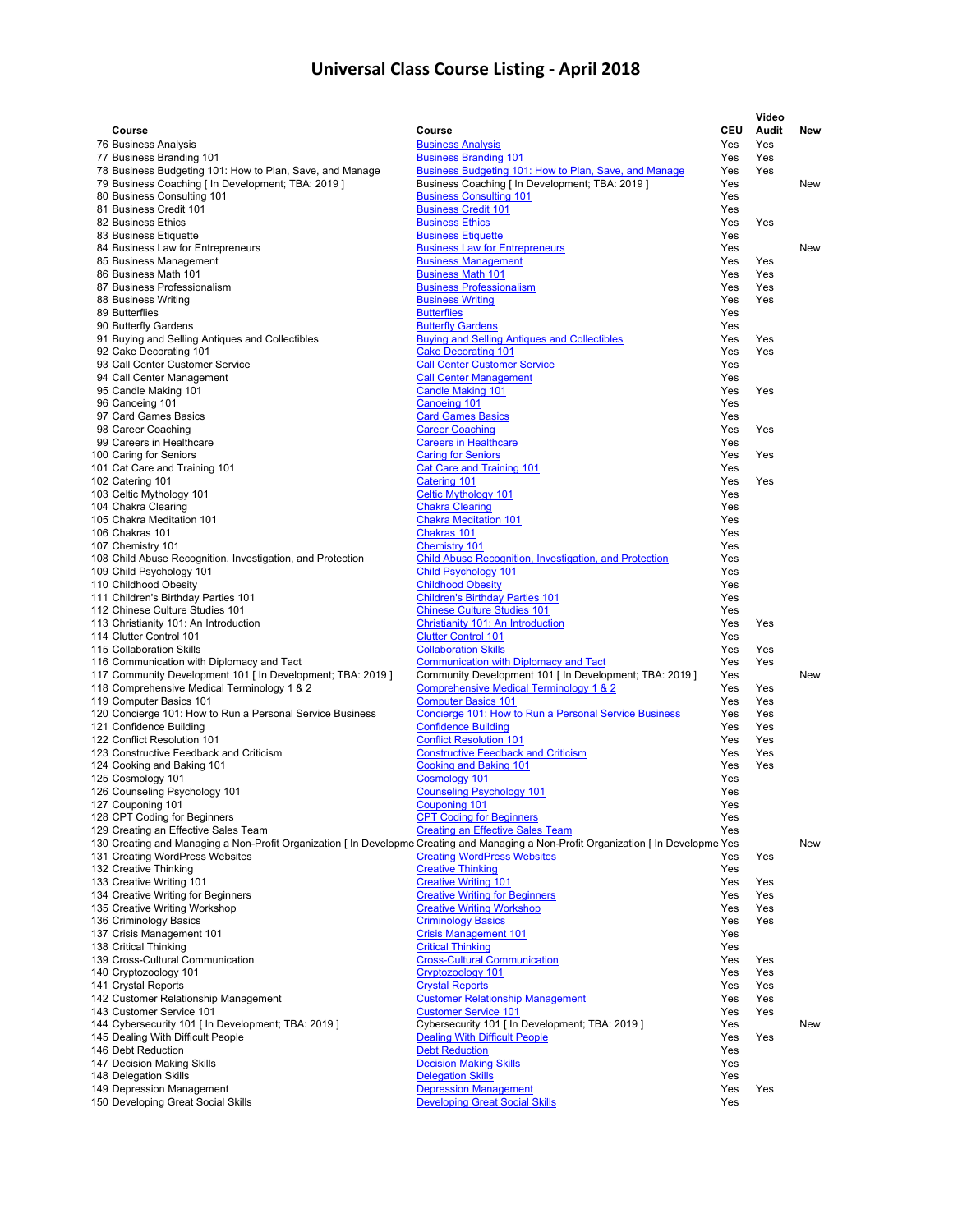|                                                                                      |                                                                                                                                                                                |            | Video      |     |
|--------------------------------------------------------------------------------------|--------------------------------------------------------------------------------------------------------------------------------------------------------------------------------|------------|------------|-----|
| Course                                                                               | Course                                                                                                                                                                         | <b>CEU</b> | Audit      | New |
| 76 Business Analysis                                                                 | <b>Business Analysis</b>                                                                                                                                                       | Yes        | Yes        |     |
| 77 Business Branding 101<br>78 Business Budgeting 101: How to Plan, Save, and Manage | <b>Business Branding 101</b><br>Business Budgeting 101: How to Plan, Save, and Manage                                                                                          | Yes<br>Yes | Yes<br>Yes |     |
| 79 Business Coaching [ In Development; TBA: 2019 ]                                   | Business Coaching [ In Development; TBA: 2019 ]                                                                                                                                | Yes        |            | New |
| 80 Business Consulting 101                                                           | <b>Business Consulting 101</b>                                                                                                                                                 | Yes        |            |     |
| 81 Business Credit 101                                                               | <b>Business Credit 101</b>                                                                                                                                                     | Yes        |            |     |
| 82 Business Ethics                                                                   | <b>Business Ethics</b>                                                                                                                                                         | Yes        | Yes        |     |
| 83 Business Etiquette                                                                | <b>Business Etiquette</b>                                                                                                                                                      | Yes        |            |     |
| 84 Business Law for Entrepreneurs<br>85 Business Management                          | <b>Business Law for Entrepreneurs</b><br><b>Business Management</b>                                                                                                            | Yes<br>Yes | Yes        | New |
| 86 Business Math 101                                                                 | <b>Business Math 101</b>                                                                                                                                                       | Yes        | Yes        |     |
| 87 Business Professionalism                                                          | <b>Business Professionalism</b>                                                                                                                                                | Yes        | Yes        |     |
| 88 Business Writing                                                                  | <b>Business Writing</b>                                                                                                                                                        | Yes        | Yes        |     |
| 89 Butterflies                                                                       | <b>Butterflies</b>                                                                                                                                                             | Yes        |            |     |
| 90 Butterfly Gardens                                                                 | <b>Butterfly Gardens</b>                                                                                                                                                       | Yes        |            |     |
| 91 Buying and Selling Antiques and Collectibles                                      | <b>Buying and Selling Antiques and Collectibles</b>                                                                                                                            | Yes        | Yes        |     |
| 92 Cake Decorating 101<br>93 Call Center Customer Service                            | <b>Cake Decorating 101</b><br><b>Call Center Customer Service</b>                                                                                                              | Yes<br>Yes | Yes        |     |
| 94 Call Center Management                                                            | <b>Call Center Management</b>                                                                                                                                                  | Yes        |            |     |
| 95 Candle Making 101                                                                 | <b>Candle Making 101</b>                                                                                                                                                       | Yes        | Yes        |     |
| 96 Canoeing 101                                                                      | Canoeing 101                                                                                                                                                                   | Yes        |            |     |
| 97 Card Games Basics                                                                 | <b>Card Games Basics</b>                                                                                                                                                       | Yes        |            |     |
| 98 Career Coaching                                                                   | <b>Career Coaching</b>                                                                                                                                                         | Yes        | Yes        |     |
| 99 Careers in Healthcare                                                             | <b>Careers in Healthcare</b>                                                                                                                                                   | Yes        |            |     |
| 100 Caring for Seniors                                                               | <b>Caring for Seniors</b>                                                                                                                                                      | Yes        | Yes        |     |
| 101 Cat Care and Training 101                                                        | <b>Cat Care and Training 101</b><br>Catering 101                                                                                                                               | Yes        | Yes        |     |
| 102 Catering 101<br>103 Celtic Mythology 101                                         | <b>Celtic Mythology 101</b>                                                                                                                                                    | Yes<br>Yes |            |     |
| 104 Chakra Clearing                                                                  | <b>Chakra Clearing</b>                                                                                                                                                         | Yes        |            |     |
| 105 Chakra Meditation 101                                                            | <b>Chakra Meditation 101</b>                                                                                                                                                   | Yes        |            |     |
| 106 Chakras 101                                                                      | Chakras 101                                                                                                                                                                    | Yes        |            |     |
| 107 Chemistry 101                                                                    | <b>Chemistry 101</b>                                                                                                                                                           | Yes        |            |     |
| 108 Child Abuse Recognition, Investigation, and Protection                           | Child Abuse Recognition, Investigation, and Protection                                                                                                                         | Yes        |            |     |
| 109 Child Psychology 101                                                             | <b>Child Psychology 101</b>                                                                                                                                                    | Yes        |            |     |
| 110 Childhood Obesity                                                                | <b>Childhood Obesity</b>                                                                                                                                                       | Yes        |            |     |
| 111 Children's Birthday Parties 101                                                  | <b>Children's Birthday Parties 101</b>                                                                                                                                         | Yes        |            |     |
| 112 Chinese Culture Studies 101<br>113 Christianity 101: An Introduction             | <b>Chinese Culture Studies 101</b><br>Christianity 101: An Introduction                                                                                                        | Yes<br>Yes | Yes        |     |
| 114 Clutter Control 101                                                              | <b>Clutter Control 101</b>                                                                                                                                                     | Yes        |            |     |
| 115 Collaboration Skills                                                             | <b>Collaboration Skills</b>                                                                                                                                                    | Yes        | Yes        |     |
| 116 Communication with Diplomacy and Tact                                            | <b>Communication with Diplomacy and Tact</b>                                                                                                                                   | Yes        | Yes        |     |
| 117 Community Development 101 [ In Development; TBA: 2019 ]                          | Community Development 101 [ In Development; TBA: 2019 ]                                                                                                                        | Yes        |            | New |
| 118 Comprehensive Medical Terminology 1 & 2                                          | <b>Comprehensive Medical Terminology 1 &amp; 2</b>                                                                                                                             | Yes        | Yes        |     |
| 119 Computer Basics 101                                                              | <b>Computer Basics 101</b>                                                                                                                                                     | Yes        | Yes        |     |
| 120 Concierge 101: How to Run a Personal Service Business<br>121 Confidence Building | Concierge 101: How to Run a Personal Service Business<br><b>Confidence Building</b>                                                                                            | Yes<br>Yes | Yes<br>Yes |     |
| 122 Conflict Resolution 101                                                          | <b>Conflict Resolution 101</b>                                                                                                                                                 | Yes        | Yes        |     |
| 123 Constructive Feedback and Criticism                                              | <b>Constructive Feedback and Criticism</b>                                                                                                                                     | Yes        | Yes        |     |
| 124 Cooking and Baking 101                                                           | <b>Cooking and Baking 101</b>                                                                                                                                                  | Yes        | Yes        |     |
| 125 Cosmology 101                                                                    | Cosmology 101                                                                                                                                                                  | Yes        |            |     |
| 126 Counseling Psychology 101                                                        | <b>Counseling Psychology 101</b>                                                                                                                                               | Yes        |            |     |
| 127 Couponing 101                                                                    | Couponing 101                                                                                                                                                                  | Yes        |            |     |
| 128 CPT Coding for Beginners                                                         | <b>CPT Coding for Beginners</b>                                                                                                                                                | Yes        |            |     |
| 129 Creating an Effective Sales Team                                                 | <b>Creating an Effective Sales Team</b><br>130 Creating and Managing a Non-Profit Organization [In Developme Creating and Managing a Non-Profit Organization [In Developme Yes | Yes        |            | New |
| 131 Creating WordPress Websites                                                      | <b>Creating WordPress Websites</b>                                                                                                                                             | Yes        | Yes        |     |
| 132 Creative Thinking                                                                | <b>Creative Thinking</b>                                                                                                                                                       | Yes        |            |     |
| 133 Creative Writing 101                                                             | <b>Creative Writing 101</b>                                                                                                                                                    | Yes        | Yes        |     |
| 134 Creative Writing for Beginners                                                   | <b>Creative Writing for Beginners</b>                                                                                                                                          | Yes        | Yes        |     |
| 135 Creative Writing Workshop                                                        | <b>Creative Writing Workshop</b>                                                                                                                                               | Yes        | Yes        |     |
| 136 Criminology Basics                                                               | <b>Criminology Basics</b>                                                                                                                                                      | Yes        | Yes        |     |
| 137 Crisis Management 101                                                            | <b>Crisis Management 101</b><br><b>Critical Thinking</b>                                                                                                                       | Yes        |            |     |
| 138 Critical Thinking<br>139 Cross-Cultural Communication                            | <b>Cross-Cultural Communication</b>                                                                                                                                            | Yes<br>Yes | Yes        |     |
| 140 Cryptozoology 101                                                                | Cryptozoology 101                                                                                                                                                              | Yes        | Yes        |     |
| 141 Crystal Reports                                                                  | <b>Crystal Reports</b>                                                                                                                                                         | Yes        | Yes        |     |
| 142 Customer Relationship Management                                                 | <b>Customer Relationship Management</b>                                                                                                                                        | Yes        | Yes        |     |
| 143 Customer Service 101                                                             | <b>Customer Service 101</b>                                                                                                                                                    | Yes        | Yes        |     |
| 144 Cybersecurity 101 [ In Development; TBA: 2019 ]                                  | Cybersecurity 101 [ In Development; TBA: 2019 ]                                                                                                                                | Yes        |            | New |
| 145 Dealing With Difficult People                                                    | <b>Dealing With Difficult People</b>                                                                                                                                           | Yes        | Yes        |     |
| 146 Debt Reduction                                                                   | <b>Debt Reduction</b><br><b>Decision Making Skills</b>                                                                                                                         | Yes        |            |     |
| 147 Decision Making Skills<br>148 Delegation Skills                                  | <b>Delegation Skills</b>                                                                                                                                                       | Yes<br>Yes |            |     |
| 149 Depression Management                                                            | <b>Depression Management</b>                                                                                                                                                   | Yes        | Yes        |     |
| 150 Developing Great Social Skills                                                   | <b>Developing Great Social Skills</b>                                                                                                                                          | Yes        |            |     |
|                                                                                      |                                                                                                                                                                                |            |            |     |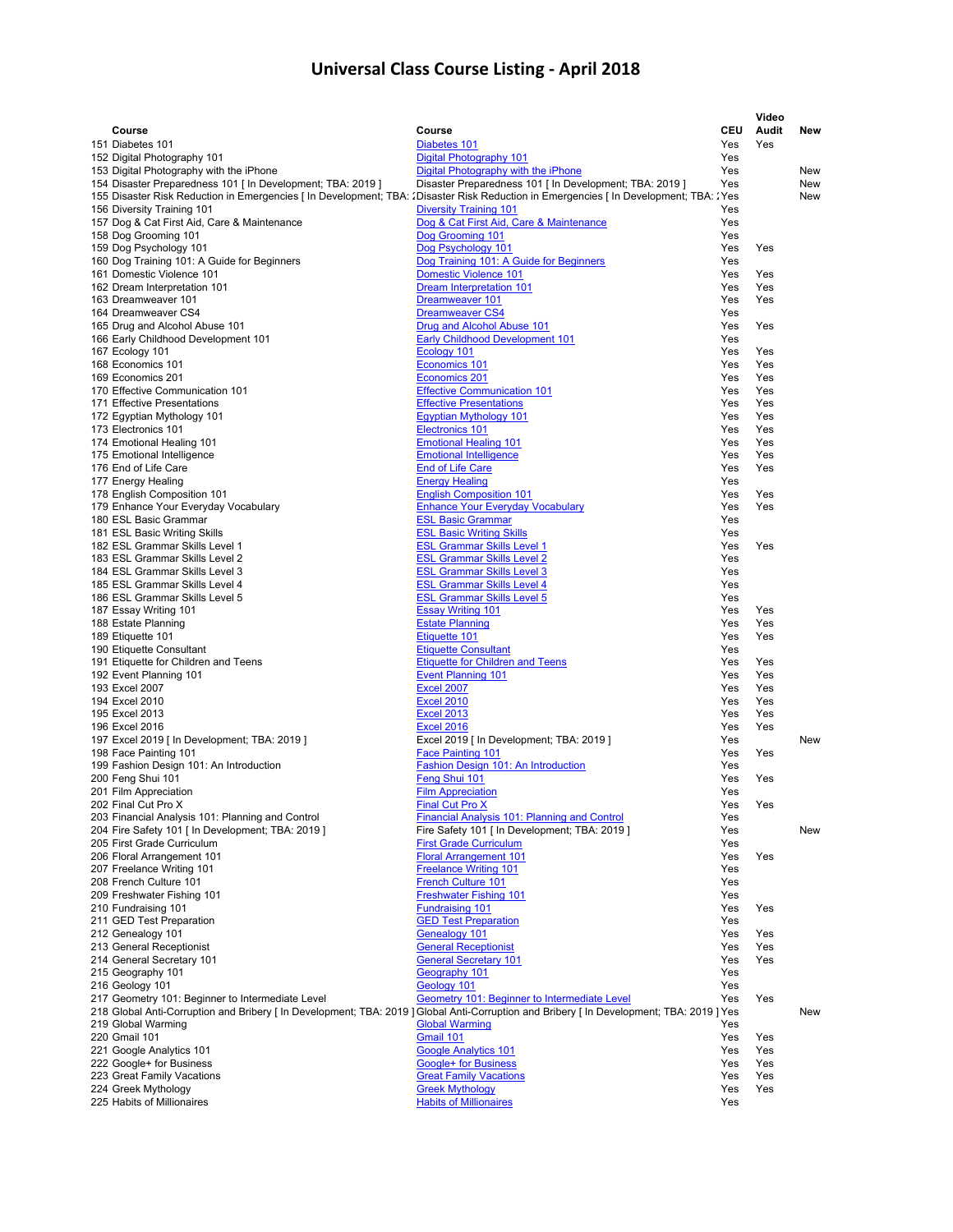|                                                                                                                                           |                                                                        |            | Video      |     |
|-------------------------------------------------------------------------------------------------------------------------------------------|------------------------------------------------------------------------|------------|------------|-----|
| Course                                                                                                                                    | Course                                                                 | <b>CEU</b> | Audit      | New |
| 151 Diabetes 101                                                                                                                          | Diabetes 101                                                           | Yes        | Yes        |     |
| 152 Digital Photography 101                                                                                                               | Digital Photography 101                                                | Yes        |            |     |
| 153 Digital Photography with the iPhone                                                                                                   | Digital Photography with the iPhone                                    | Yes        |            | New |
| 154 Disaster Preparedness 101 [ In Development; TBA: 2019 ]                                                                               | Disaster Preparedness 101 [ In Development; TBA: 2019 ]                | Yes        |            | New |
| 155 Disaster Risk Reduction in Emergencies [In Development; TBA: : Disaster Risk Reduction in Emergencies [In Development; TBA: : Yes     |                                                                        |            |            | New |
| 156 Diversity Training 101                                                                                                                | <b>Diversity Training 101</b>                                          | Yes        |            |     |
| 157 Dog & Cat First Aid, Care & Maintenance                                                                                               | Dog & Cat First Aid, Care & Maintenance<br>Dog Grooming 101            | Yes<br>Yes |            |     |
| 158 Dog Grooming 101                                                                                                                      | Dog Psychology 101                                                     | Yes        | Yes        |     |
| 159 Dog Psychology 101<br>160 Dog Training 101: A Guide for Beginners                                                                     | Dog Training 101: A Guide for Beginners                                | Yes        |            |     |
| 161 Domestic Violence 101                                                                                                                 | <b>Domestic Violence 101</b>                                           | Yes        | Yes        |     |
| 162 Dream Interpretation 101                                                                                                              | <b>Dream Interpretation 101</b>                                        | Yes        | Yes        |     |
| 163 Dreamweaver 101                                                                                                                       | Dreamweaver 101                                                        | Yes        | Yes        |     |
| 164 Dreamweaver CS4                                                                                                                       | <b>Dreamweaver CS4</b>                                                 | Yes        |            |     |
| 165 Drug and Alcohol Abuse 101                                                                                                            | Drug and Alcohol Abuse 101                                             | Yes        | Yes        |     |
| 166 Early Childhood Development 101                                                                                                       | <b>Early Childhood Development 101</b>                                 | Yes        |            |     |
| 167 Ecology 101                                                                                                                           | Ecology 101                                                            | Yes        | Yes        |     |
| 168 Economics 101                                                                                                                         | Economics 101                                                          | Yes        | Yes        |     |
| 169 Economics 201                                                                                                                         | <b>Economics 201</b>                                                   | Yes        | Yes        |     |
| 170 Effective Communication 101                                                                                                           | <b>Effective Communication 101</b>                                     | Yes        | Yes        |     |
| 171 Effective Presentations                                                                                                               | <b>Effective Presentations</b>                                         | Yes        | Yes        |     |
| 172 Egyptian Mythology 101                                                                                                                | <b>Eqyptian Mythology 101</b>                                          | Yes        | Yes        |     |
| 173 Electronics 101                                                                                                                       | <b>Electronics 101</b>                                                 | Yes        | Yes        |     |
| 174 Emotional Healing 101                                                                                                                 | <b>Emotional Healing 101</b>                                           | Yes        | Yes        |     |
| 175 Emotional Intelligence                                                                                                                | <b>Emotional Intelligence</b>                                          | Yes        | Yes        |     |
| 176 End of Life Care                                                                                                                      | <b>End of Life Care</b>                                                | Yes        | Yes        |     |
| 177 Energy Healing                                                                                                                        | <b>Energy Healing</b>                                                  | Yes        |            |     |
| 178 English Composition 101                                                                                                               | <b>English Composition 101</b>                                         | Yes        | Yes        |     |
| 179 Enhance Your Everyday Vocabulary                                                                                                      | <b>Enhance Your Everyday Vocabulary</b>                                | Yes        | Yes        |     |
| 180 ESL Basic Grammar                                                                                                                     | <b>ESL Basic Grammar</b>                                               | Yes        |            |     |
| 181 ESL Basic Writing Skills                                                                                                              | <b>ESL Basic Writing Skills</b>                                        | Yes        |            |     |
| 182 ESL Grammar Skills Level 1<br>183 ESL Grammar Skills Level 2                                                                          | <b>ESL Grammar Skills Level 1</b><br><b>ESL Grammar Skills Level 2</b> | Yes<br>Yes | Yes        |     |
| 184 ESL Grammar Skills Level 3                                                                                                            | <b>ESL Grammar Skills Level 3</b>                                      | Yes        |            |     |
| 185 ESL Grammar Skills Level 4                                                                                                            | <b>ESL Grammar Skills Level 4</b>                                      | Yes        |            |     |
| 186 ESL Grammar Skills Level 5                                                                                                            | <b>ESL Grammar Skills Level 5</b>                                      | Yes        |            |     |
| 187 Essay Writing 101                                                                                                                     | <b>Essay Writing 101</b>                                               | Yes        | Yes        |     |
| 188 Estate Planning                                                                                                                       | <b>Estate Planning</b>                                                 | Yes        | Yes        |     |
| 189 Etiquette 101                                                                                                                         | Etiquette 101                                                          | Yes        | Yes        |     |
| 190 Etiquette Consultant                                                                                                                  | <b>Etiquette Consultant</b>                                            | Yes        |            |     |
| 191 Etiquette for Children and Teens                                                                                                      | <b>Etiquette for Children and Teens</b>                                | Yes        | Yes        |     |
| 192 Event Planning 101                                                                                                                    | <b>Event Planning 101</b>                                              | Yes        | Yes        |     |
| 193 Excel 2007                                                                                                                            | <b>Excel 2007</b>                                                      | Yes        | Yes        |     |
| 194 Excel 2010                                                                                                                            | <b>Excel 2010</b>                                                      | Yes        | Yes        |     |
| 195 Excel 2013                                                                                                                            | <b>Excel 2013</b>                                                      | Yes        | Yes        |     |
| 196 Excel 2016                                                                                                                            | <b>Excel 2016</b>                                                      | Yes        | Yes        |     |
| 197 Excel 2019 [ In Development; TBA: 2019 ]                                                                                              | Excel 2019 [ In Development; TBA: 2019 ]                               | Yes        |            | New |
| 198 Face Painting 101                                                                                                                     | <b>Face Painting 101</b>                                               | Yes        | Yes        |     |
| 199 Fashion Design 101: An Introduction                                                                                                   | Fashion Design 101: An Introduction                                    | Yes        |            |     |
| 200 Feng Shui 101                                                                                                                         | Feng Shui 101                                                          | Yes        | Yes        |     |
| 201 Film Appreciation<br>202 Final Cut Pro X                                                                                              | <b>Film Appreciation</b>                                               | Yes<br>Yes | Yes        |     |
|                                                                                                                                           | <b>Final Cut Pro X</b><br>Financial Analysis 101: Planning and Control | Yes        |            |     |
| 203 Financial Analysis 101: Planning and Control<br>204 Fire Safety 101 [ In Development; TBA: 2019 ]                                     | Fire Safety 101 [ In Development; TBA: 2019 ]                          | Yes        |            | New |
| 205 First Grade Curriculum                                                                                                                | <b>First Grade Curriculum</b>                                          | Yes        |            |     |
| 206 Floral Arrangement 101                                                                                                                | <b>Floral Arrangement 101</b>                                          | Yes        | Yes        |     |
| 207 Freelance Writing 101                                                                                                                 | <b>Freelance Writing 101</b>                                           | Yes        |            |     |
| 208 French Culture 101                                                                                                                    | <b>French Culture 101</b>                                              | Yes        |            |     |
| 209 Freshwater Fishing 101                                                                                                                | <b>Freshwater Fishing 101</b>                                          | Yes        |            |     |
| 210 Fundraising 101                                                                                                                       | <b>Fundraising 101</b>                                                 | Yes        | Yes        |     |
| 211 GED Test Preparation                                                                                                                  | <b>GED Test Preparation</b>                                            | Yes        |            |     |
| 212 Genealogy 101                                                                                                                         | <b>Genealogy 101</b>                                                   | Yes        | Yes        |     |
| 213 General Receptionist                                                                                                                  | <b>General Receptionist</b>                                            | Yes        | Yes        |     |
| 214 General Secretary 101                                                                                                                 | <b>General Secretary 101</b>                                           | Yes        | Yes        |     |
| 215 Geography 101                                                                                                                         | Geography 101                                                          | Yes        |            |     |
| 216 Geology 101                                                                                                                           | Geology 101                                                            | Yes        |            |     |
| 217 Geometry 101: Beginner to Intermediate Level                                                                                          | Geometry 101: Beginner to Intermediate Level                           | Yes        | Yes        |     |
| 218 Global Anti-Corruption and Bribery [ In Development; TBA: 2019 ] Global Anti-Corruption and Bribery [ In Development; TBA: 2019 ] Yes |                                                                        |            |            | New |
| 219 Global Warming                                                                                                                        | <b>Global Warming</b>                                                  | Yes        |            |     |
| 220 Gmail 101                                                                                                                             | Gmail 101                                                              | Yes        | Yes        |     |
| 221 Google Analytics 101                                                                                                                  | <b>Google Analytics 101</b><br>Google+ for Business                    | Yes<br>Yes | Yes<br>Yes |     |
| 222 Google+ for Business<br>223 Great Family Vacations                                                                                    | <b>Great Family Vacations</b>                                          | Yes        | Yes        |     |
| 224 Greek Mythology                                                                                                                       | <b>Greek Mythology</b>                                                 | Yes        | Yes        |     |
| 225 Habits of Millionaires                                                                                                                | <b>Habits of Millionaires</b>                                          | Yes        |            |     |
|                                                                                                                                           |                                                                        |            |            |     |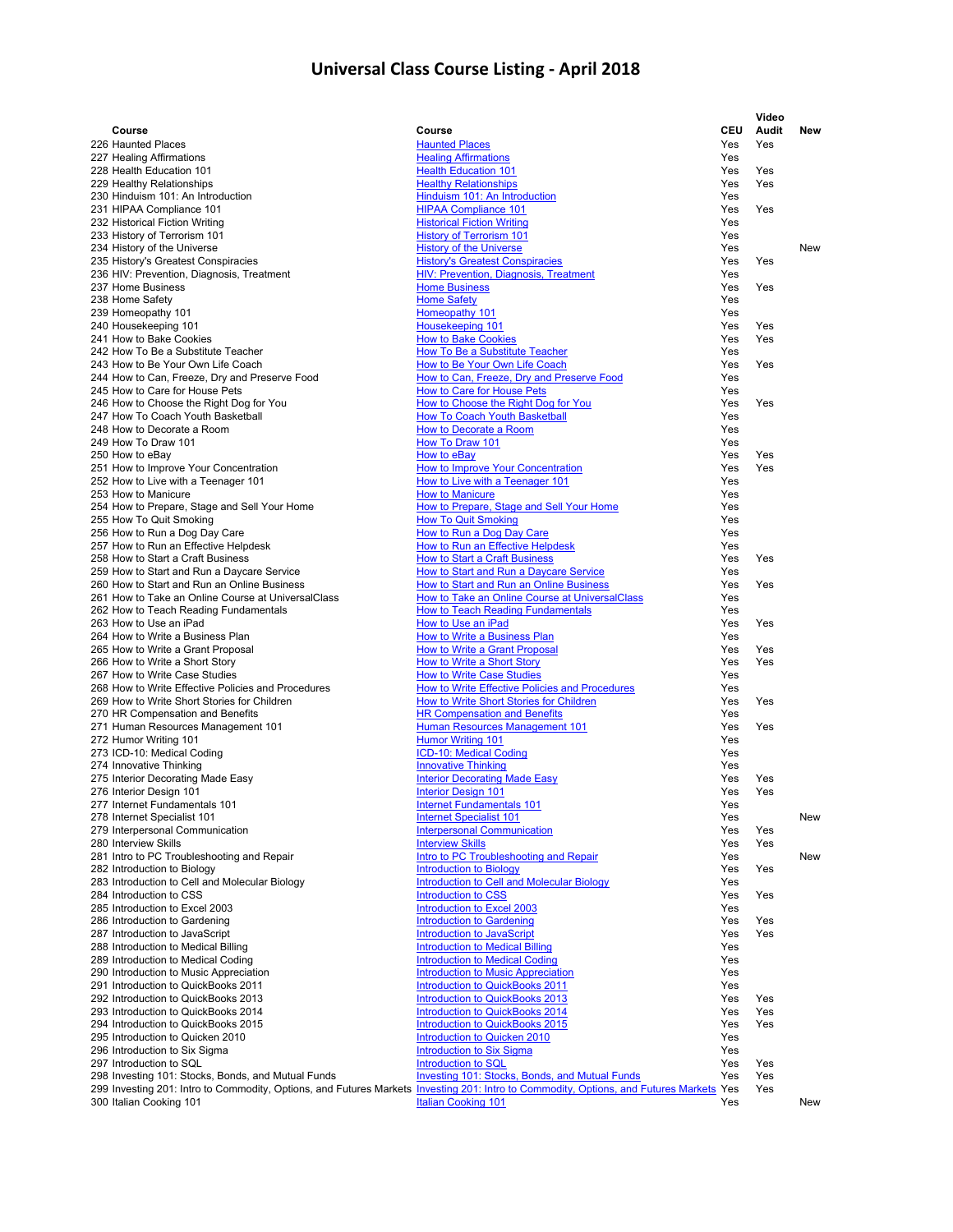|                                                                                                                                                 |                                                                                            |            | Video      |            |
|-------------------------------------------------------------------------------------------------------------------------------------------------|--------------------------------------------------------------------------------------------|------------|------------|------------|
| Course                                                                                                                                          | Course                                                                                     | <b>CEU</b> | Audit      | New        |
| 226 Haunted Places                                                                                                                              | <b>Haunted Places</b>                                                                      | Yes        | Yes        |            |
| 227 Healing Affirmations                                                                                                                        | <b>Healing Affirmations</b>                                                                | Yes        |            |            |
| 228 Health Education 101<br>229 Healthy Relationships                                                                                           | <b>Health Education 101</b><br><b>Healthy Relationships</b>                                | Yes<br>Yes | Yes<br>Yes |            |
| 230 Hinduism 101: An Introduction                                                                                                               | Hinduism 101: An Introduction                                                              | Yes        |            |            |
| 231 HIPAA Compliance 101                                                                                                                        | <b>HIPAA Compliance 101</b>                                                                | Yes        | Yes        |            |
| 232 Historical Fiction Writing                                                                                                                  | <b>Historical Fiction Writing</b>                                                          | Yes        |            |            |
| 233 History of Terrorism 101                                                                                                                    | <b>History of Terrorism 101</b>                                                            | Yes        |            |            |
| 234 History of the Universe                                                                                                                     | <b>History of the Universe</b>                                                             | Yes        |            | <b>New</b> |
| 235 History's Greatest Conspiracies                                                                                                             | <b>History's Greatest Conspiracies</b><br>HIV: Prevention, Diagnosis, Treatment            | Yes        | Yes        |            |
| 236 HIV: Prevention, Diagnosis, Treatment<br>237 Home Business                                                                                  | <b>Home Business</b>                                                                       | Yes<br>Yes | Yes        |            |
| 238 Home Safety                                                                                                                                 | <b>Home Safety</b>                                                                         | Yes        |            |            |
| 239 Homeopathy 101                                                                                                                              | Homeopathy 101                                                                             | Yes        |            |            |
| 240 Housekeeping 101                                                                                                                            | Housekeeping 101                                                                           | Yes        | Yes        |            |
| 241 How to Bake Cookies                                                                                                                         | <b>How to Bake Cookies</b>                                                                 | Yes        | Yes        |            |
| 242 How To Be a Substitute Teacher                                                                                                              | <b>How To Be a Substitute Teacher</b>                                                      | Yes        |            |            |
| 243 How to Be Your Own Life Coach                                                                                                               | How to Be Your Own Life Coach                                                              | Yes<br>Yes | Yes        |            |
| 244 How to Can, Freeze, Dry and Preserve Food<br>245 How to Care for House Pets                                                                 | How to Can, Freeze, Dry and Preserve Food<br>How to Care for House Pets                    | Yes        |            |            |
| 246 How to Choose the Right Dog for You                                                                                                         | How to Choose the Right Dog for You                                                        | Yes        | Yes        |            |
| 247 How To Coach Youth Basketball                                                                                                               | <b>How To Coach Youth Basketball</b>                                                       | Yes        |            |            |
| 248 How to Decorate a Room                                                                                                                      | How to Decorate a Room                                                                     | Yes        |            |            |
| 249 How To Draw 101                                                                                                                             | <b>How To Draw 101</b>                                                                     | Yes        |            |            |
| 250 How to eBay                                                                                                                                 | How to eBay                                                                                | Yes        | Yes        |            |
| 251 How to Improve Your Concentration                                                                                                           | How to Improve Your Concentration                                                          | Yes        | Yes        |            |
| 252 How to Live with a Teenager 101                                                                                                             | How to Live with a Teenager 101<br><b>How to Manicure</b>                                  | Yes<br>Yes |            |            |
| 253 How to Manicure<br>254 How to Prepare, Stage and Sell Your Home                                                                             | How to Prepare, Stage and Sell Your Home                                                   | Yes        |            |            |
| 255 How To Quit Smoking                                                                                                                         | <b>How To Quit Smoking</b>                                                                 | Yes        |            |            |
| 256 How to Run a Dog Day Care                                                                                                                   | How to Run a Dog Day Care                                                                  | Yes        |            |            |
| 257 How to Run an Effective Helpdesk                                                                                                            | How to Run an Effective Helpdesk                                                           | Yes        |            |            |
| 258 How to Start a Craft Business                                                                                                               | <b>How to Start a Craft Business</b>                                                       | Yes        | Yes        |            |
| 259 How to Start and Run a Daycare Service                                                                                                      | <b>How to Start and Run a Daycare Service</b>                                              | Yes        |            |            |
| 260 How to Start and Run an Online Business                                                                                                     | How to Start and Run an Online Business                                                    | Yes        | Yes        |            |
| 261 How to Take an Online Course at UniversalClass                                                                                              | How to Take an Online Course at UniversalClass<br><b>How to Teach Reading Fundamentals</b> | Yes<br>Yes |            |            |
| 262 How to Teach Reading Fundamentals<br>263 How to Use an iPad                                                                                 | How to Use an iPad                                                                         | Yes        | Yes        |            |
| 264 How to Write a Business Plan                                                                                                                | How to Write a Business Plan                                                               | Yes        |            |            |
| 265 How to Write a Grant Proposal                                                                                                               | <b>How to Write a Grant Proposal</b>                                                       | Yes        | Yes        |            |
| 266 How to Write a Short Story                                                                                                                  | How to Write a Short Story                                                                 | Yes        | Yes        |            |
| 267 How to Write Case Studies                                                                                                                   | <b>How to Write Case Studies</b>                                                           | Yes        |            |            |
| 268 How to Write Effective Policies and Procedures                                                                                              | How to Write Effective Policies and Procedures                                             | Yes        |            |            |
| 269 How to Write Short Stories for Children                                                                                                     | How to Write Short Stories for Children                                                    | Yes        | Yes        |            |
| 270 HR Compensation and Benefits<br>271 Human Resources Management 101                                                                          | <b>HR Compensation and Benefits</b><br><b>Human Resources Management 101</b>               | Yes<br>Yes | Yes        |            |
| 272 Humor Writing 101                                                                                                                           | <b>Humor Writing 101</b>                                                                   | Yes        |            |            |
| 273 ICD-10: Medical Coding                                                                                                                      | ICD-10: Medical Coding                                                                     | Yes        |            |            |
| 274 Innovative Thinking                                                                                                                         | <b>Innovative Thinking</b>                                                                 | Yes        |            |            |
| 275 Interior Decorating Made Easy                                                                                                               | <b>Interior Decorating Made Easy</b>                                                       | Yes        | Yes        |            |
| 276 Interior Design 101                                                                                                                         | <b>Interior Design 101</b>                                                                 | Yes        | Yes        |            |
| 277 Internet Fundamentals 101                                                                                                                   | <b>Internet Fundamentals 101</b>                                                           | Yes        |            |            |
| 278 Internet Specialist 101<br>279 Interpersonal Communication                                                                                  | <b>Internet Specialist 101</b><br><b>Interpersonal Communication</b>                       | Yes<br>Yes | Yes        | New        |
| 280 Interview Skills                                                                                                                            | <b>Interview Skills</b>                                                                    | Yes        | Yes        |            |
| 281 Intro to PC Troubleshooting and Repair                                                                                                      | Intro to PC Troubleshooting and Repair                                                     | Yes        |            | New        |
| 282 Introduction to Biology                                                                                                                     | <b>Introduction to Biology</b>                                                             | Yes        | Yes        |            |
| 283 Introduction to Cell and Molecular Biology                                                                                                  | <b>Introduction to Cell and Molecular Biology</b>                                          | Yes        |            |            |
| 284 Introduction to CSS                                                                                                                         | <b>Introduction to CSS</b>                                                                 | Yes        | Yes        |            |
| 285 Introduction to Excel 2003                                                                                                                  | Introduction to Excel 2003                                                                 | Yes        |            |            |
| 286 Introduction to Gardening<br>287 Introduction to JavaScript                                                                                 | <b>Introduction to Gardening</b><br><b>Introduction to JavaScript</b>                      | Yes<br>Yes | Yes<br>Yes |            |
| 288 Introduction to Medical Billing                                                                                                             | <b>Introduction to Medical Billing</b>                                                     | Yes        |            |            |
| 289 Introduction to Medical Coding                                                                                                              | <b>Introduction to Medical Coding</b>                                                      | Yes        |            |            |
| 290 Introduction to Music Appreciation                                                                                                          | <b>Introduction to Music Appreciation</b>                                                  | Yes        |            |            |
| 291 Introduction to QuickBooks 2011                                                                                                             | Introduction to QuickBooks 2011                                                            | Yes        |            |            |
| 292 Introduction to QuickBooks 2013                                                                                                             | Introduction to QuickBooks 2013                                                            | Yes        | Yes        |            |
| 293 Introduction to QuickBooks 2014                                                                                                             | Introduction to QuickBooks 2014                                                            | Yes        | Yes        |            |
| 294 Introduction to QuickBooks 2015<br>295 Introduction to Quicken 2010                                                                         | Introduction to QuickBooks 2015<br>Introduction to Quicken 2010                            | Yes<br>Yes | Yes        |            |
| 296 Introduction to Six Sigma                                                                                                                   | <b>Introduction to Six Sigma</b>                                                           | Yes        |            |            |
| 297 Introduction to SQL                                                                                                                         | Introduction to SQL                                                                        | Yes        | Yes        |            |
| 298 Investing 101: Stocks, Bonds, and Mutual Funds                                                                                              | Investing 101: Stocks, Bonds, and Mutual Funds                                             | Yes        | Yes        |            |
| 299 Investing 201: Intro to Commodity, Options, and Futures Markets <i>Investing 201: Intro to Commodity</i> , Options, and Futures Markets Yes |                                                                                            |            | Yes        |            |
| 300 Italian Cooking 101                                                                                                                         | <b>Italian Cooking 101</b>                                                                 | Yes        |            | New        |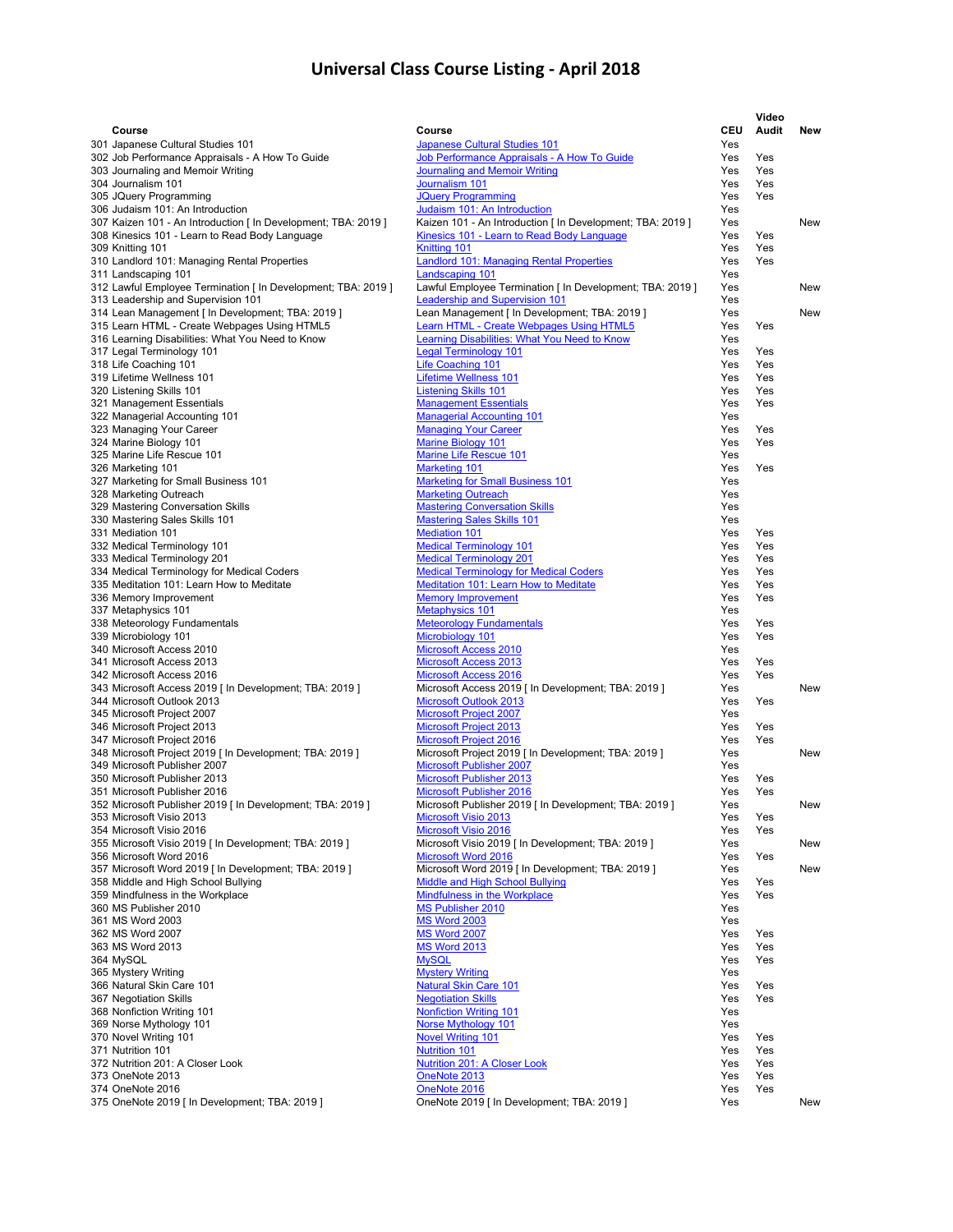|                                                                                                     |                                                                                                    |            | Video      |     |
|-----------------------------------------------------------------------------------------------------|----------------------------------------------------------------------------------------------------|------------|------------|-----|
| Course                                                                                              | Course                                                                                             | <b>CEU</b> | Audit      | New |
| 301 Japanese Cultural Studies 101                                                                   | Japanese Cultural Studies 101                                                                      | Yes        |            |     |
| 302 Job Performance Appraisals - A How To Guide                                                     | Job Performance Appraisals - A How To Guide                                                        | Yes        | Yes        |     |
| 303 Journaling and Memoir Writing<br>304 Journalism 101                                             | <b>Journaling and Memoir Writing</b><br>Journalism 101                                             | Yes<br>Yes | Yes<br>Yes |     |
| 305 JQuery Programming                                                                              | <b>JQuery Programming</b>                                                                          | Yes        | Yes        |     |
| 306 Judaism 101: An Introduction                                                                    | Judaism 101: An Introduction                                                                       | Yes        |            |     |
| 307 Kaizen 101 - An Introduction [ In Development; TBA: 2019 ]                                      | Kaizen 101 - An Introduction [ In Development; TBA: 2019 ]                                         | Yes        |            | New |
| 308 Kinesics 101 - Learn to Read Body Language                                                      | Kinesics 101 - Learn to Read Body Language                                                         | Yes        | Yes        |     |
| 309 Knitting 101                                                                                    | Knitting 101                                                                                       | Yes        | Yes        |     |
| 310 Landlord 101: Managing Rental Properties                                                        | <b>Landlord 101: Managing Rental Properties</b>                                                    | Yes        | Yes        |     |
| 311 Landscaping 101                                                                                 | <b>Landscaping 101</b>                                                                             | Yes        |            |     |
| 312 Lawful Employee Termination [ In Development; TBA: 2019 ]<br>313 Leadership and Supervision 101 | Lawful Employee Termination [ In Development; TBA: 2019 ]<br><b>Leadership and Supervision 101</b> | Yes<br>Yes |            | New |
| 314 Lean Management [ In Development; TBA: 2019 ]                                                   | Lean Management [ In Development; TBA: 2019 ]                                                      | Yes        |            | New |
| 315 Learn HTML - Create Webpages Using HTML5                                                        | Learn HTML - Create Webpages Using HTML5                                                           | Yes        | Yes        |     |
| 316 Learning Disabilities: What You Need to Know                                                    | Learning Disabilities: What You Need to Know                                                       | Yes        |            |     |
| 317 Legal Terminology 101                                                                           | <b>Legal Terminology 101</b>                                                                       | Yes        | Yes        |     |
| 318 Life Coaching 101                                                                               | Life Coaching 101                                                                                  | Yes        | Yes        |     |
| 319 Lifetime Wellness 101                                                                           | <b>Lifetime Wellness 101</b>                                                                       | Yes        | Yes        |     |
| 320 Listening Skills 101                                                                            | <b>Listening Skills 101</b>                                                                        | Yes        | Yes        |     |
| 321 Management Essentials                                                                           | <b>Management Essentials</b>                                                                       | Yes        | Yes        |     |
| 322 Managerial Accounting 101                                                                       | <b>Managerial Accounting 101</b><br><b>Managing Your Career</b>                                    | Yes        |            |     |
| 323 Managing Your Career<br>324 Marine Biology 101                                                  | <b>Marine Biology 101</b>                                                                          | Yes<br>Yes | Yes<br>Yes |     |
| 325 Marine Life Rescue 101                                                                          | <b>Marine Life Rescue 101</b>                                                                      | Yes        |            |     |
| 326 Marketing 101                                                                                   | <b>Marketing 101</b>                                                                               | Yes        | Yes        |     |
| 327 Marketing for Small Business 101                                                                | <b>Marketing for Small Business 101</b>                                                            | Yes        |            |     |
| 328 Marketing Outreach                                                                              | <b>Marketing Outreach</b>                                                                          | Yes        |            |     |
| 329 Mastering Conversation Skills                                                                   | <b>Mastering Conversation Skills</b>                                                               | Yes        |            |     |
| 330 Mastering Sales Skills 101                                                                      | <b>Mastering Sales Skills 101</b>                                                                  | Yes        |            |     |
| 331 Mediation 101                                                                                   | <b>Mediation 101</b>                                                                               | Yes        | Yes        |     |
| 332 Medical Terminology 101                                                                         | <b>Medical Terminology 101</b><br><b>Medical Terminology 201</b>                                   | Yes        | Yes        |     |
| 333 Medical Terminology 201<br>334 Medical Terminology for Medical Coders                           | <b>Medical Terminology for Medical Coders</b>                                                      | Yes<br>Yes | Yes<br>Yes |     |
| 335 Meditation 101: Learn How to Meditate                                                           | <b>Meditation 101: Learn How to Meditate</b>                                                       | Yes        | Yes        |     |
| 336 Memory Improvement                                                                              | <b>Memory Improvement</b>                                                                          | Yes        | Yes        |     |
| 337 Metaphysics 101                                                                                 | <b>Metaphysics 101</b>                                                                             | Yes        |            |     |
| 338 Meteorology Fundamentals                                                                        | <b>Meteorology Fundamentals</b>                                                                    | Yes        | Yes        |     |
| 339 Microbiology 101                                                                                | Microbiology 101                                                                                   | Yes        | Yes        |     |
| 340 Microsoft Access 2010                                                                           | <b>Microsoft Access 2010</b>                                                                       | Yes        |            |     |
| 341 Microsoft Access 2013                                                                           | <b>Microsoft Access 2013</b>                                                                       | Yes        | Yes        |     |
| 342 Microsoft Access 2016                                                                           | <b>Microsoft Access 2016</b><br>Microsoft Access 2019 [ In Development; TBA: 2019 ]                | Yes<br>Yes | Yes        | New |
| 343 Microsoft Access 2019 [ In Development; TBA: 2019 ]<br>344 Microsoft Outlook 2013               | <b>Microsoft Outlook 2013</b>                                                                      | Yes        | Yes        |     |
| 345 Microsoft Project 2007                                                                          | <b>Microsoft Project 2007</b>                                                                      | Yes        |            |     |
| 346 Microsoft Project 2013                                                                          | <b>Microsoft Project 2013</b>                                                                      | Yes        | Yes        |     |
| 347 Microsoft Project 2016                                                                          | <b>Microsoft Project 2016</b>                                                                      | Yes        | Yes        |     |
| 348 Microsoft Project 2019 [ In Development; TBA: 2019 ]                                            | Microsoft Project 2019 [ In Development; TBA: 2019 ]                                               | Yes        |            | New |
| 349 Microsoft Publisher 2007                                                                        | <b>Microsoft Publisher 2007</b>                                                                    | Yes        |            |     |
| 350 Microsoft Publisher 2013                                                                        | <b>Microsoft Publisher 2013</b>                                                                    | Yes        | Yes        |     |
| 351 Microsoft Publisher 2016                                                                        | <b>Microsoft Publisher 2016</b><br>Microsoft Publisher 2019 [ In Development; TBA: 2019 ]          | Yes<br>Yes | Yes        |     |
| 352 Microsoft Publisher 2019 [ In Development; TBA: 2019 ]<br>353 Microsoft Visio 2013              | Microsoft Visio 2013                                                                               | Yes        | Yes        | New |
| 354 Microsoft Visio 2016                                                                            | Microsoft Visio 2016                                                                               | Yes        | Yes        |     |
| 355 Microsoft Visio 2019 [ In Development; TBA: 2019 ]                                              | Microsoft Visio 2019 [ In Development; TBA: 2019 ]                                                 | Yes        |            | New |
| 356 Microsoft Word 2016                                                                             | Microsoft Word 2016                                                                                | Yes        | Yes        |     |
| 357 Microsoft Word 2019 [ In Development; TBA: 2019 ]                                               | Microsoft Word 2019 [ In Development; TBA: 2019 ]                                                  | Yes        |            | New |
| 358 Middle and High School Bullying                                                                 | <b>Middle and High School Bullying</b>                                                             | Yes        | Yes        |     |
| 359 Mindfulness in the Workplace                                                                    | <b>Mindfulness in the Workplace</b>                                                                | Yes        | Yes        |     |
| 360 MS Publisher 2010<br>361 MS Word 2003                                                           | <b>MS Publisher 2010</b><br><b>MS Word 2003</b>                                                    | Yes<br>Yes |            |     |
| 362 MS Word 2007                                                                                    | <b>MS Word 2007</b>                                                                                | Yes        | Yes        |     |
| 363 MS Word 2013                                                                                    | <b>MS Word 2013</b>                                                                                | Yes        | Yes        |     |
| 364 MySQL                                                                                           | <b>MvSQL</b>                                                                                       | Yes        | Yes        |     |
| 365 Mystery Writing                                                                                 | <b>Mystery Writing</b>                                                                             | Yes        |            |     |
| 366 Natural Skin Care 101                                                                           | <b>Natural Skin Care 101</b>                                                                       | Yes        | Yes        |     |
| 367 Negotiation Skills                                                                              | <b>Negotiation Skills</b>                                                                          | Yes        | Yes        |     |
| 368 Nonfiction Writing 101                                                                          | <b>Nonfiction Writing 101</b>                                                                      | Yes        |            |     |
| 369 Norse Mythology 101<br>370 Novel Writing 101                                                    | <b>Norse Mythology 101</b><br><b>Novel Writing 101</b>                                             | Yes<br>Yes | Yes        |     |
| 371 Nutrition 101                                                                                   | <b>Nutrition 101</b>                                                                               | Yes        | Yes        |     |
| 372 Nutrition 201: A Closer Look                                                                    | Nutrition 201: A Closer Look                                                                       | Yes        | Yes        |     |
| 373 OneNote 2013                                                                                    | OneNote 2013                                                                                       | Yes        | Yes        |     |
| 374 OneNote 2016                                                                                    | OneNote 2016                                                                                       | Yes        | Yes        |     |
| 375 OneNote 2019 [ In Development; TBA: 2019 ]                                                      | OneNote 2019 [ In Development; TBA: 2019 ]                                                         | Yes        |            | New |
|                                                                                                     |                                                                                                    |            |            |     |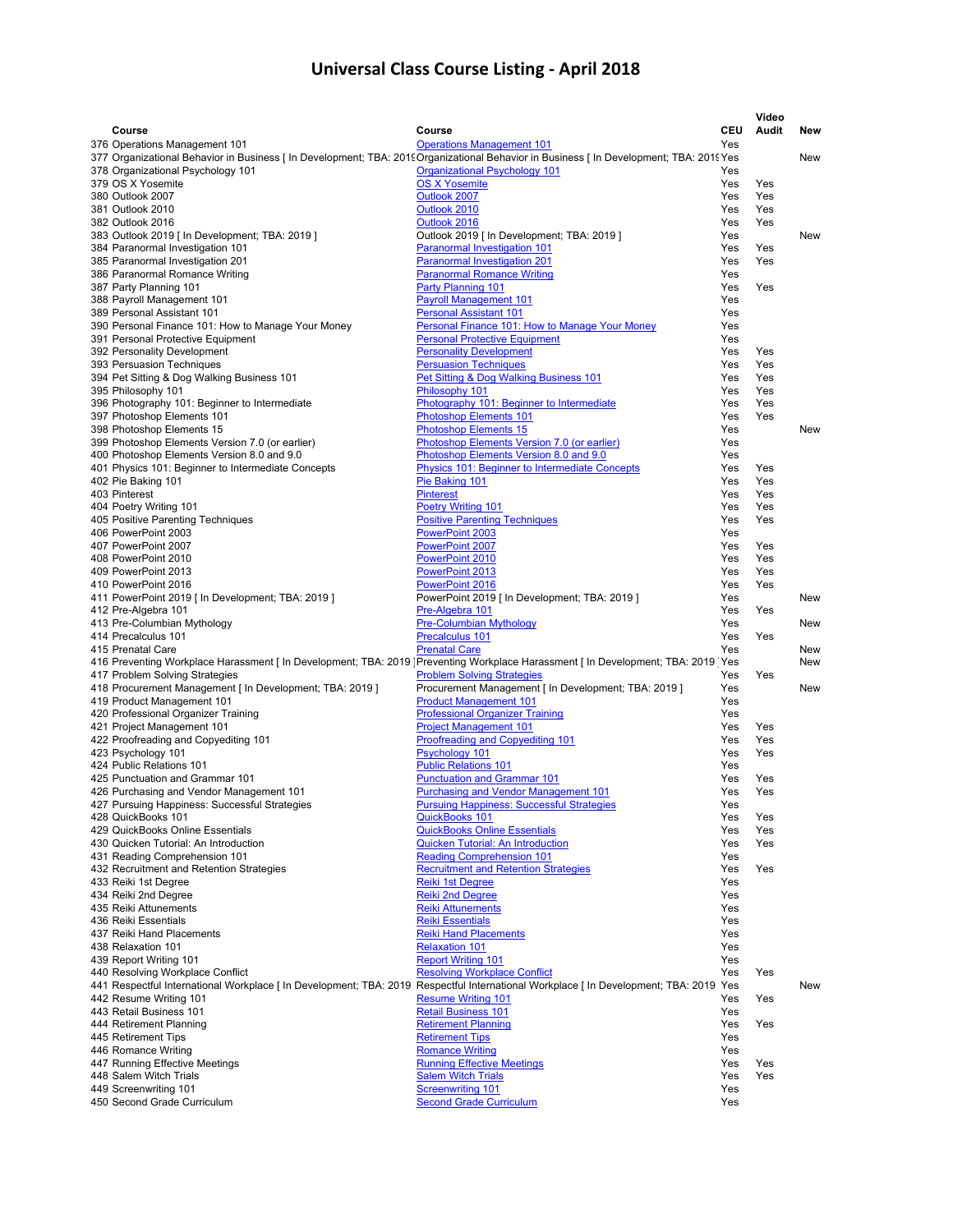|                                                                                                                                       |                                                      |     | Video |            |
|---------------------------------------------------------------------------------------------------------------------------------------|------------------------------------------------------|-----|-------|------------|
| Course                                                                                                                                | Course                                               | CEU | Audit | <b>New</b> |
| 376 Operations Management 101                                                                                                         | <b>Operations Management 101</b>                     | Yes |       |            |
| 377 Organizational Behavior in Business [In Development; TBA: 2019 Organizational Behavior in Business [In Development; TBA: 2019 Yes |                                                      |     |       | New        |
| 378 Organizational Psychology 101                                                                                                     | <b>Organizational Psychology 101</b>                 | Yes |       |            |
| 379 OS X Yosemite                                                                                                                     | <b>OS X Yosemite</b>                                 | Yes | Yes   |            |
| 380 Outlook 2007                                                                                                                      | Outlook 2007                                         | Yes | Yes   |            |
| 381 Outlook 2010                                                                                                                      | Outlook 2010                                         | Yes | Yes   |            |
| 382 Outlook 2016                                                                                                                      | Outlook 2016                                         | Yes | Yes   |            |
| 383 Outlook 2019 [ In Development; TBA: 2019 ]                                                                                        | Outlook 2019 [ In Development; TBA: 2019 ]           | Yes |       | New        |
| 384 Paranormal Investigation 101                                                                                                      | <b>Paranormal Investigation 101</b>                  | Yes | Yes   |            |
| 385 Paranormal Investigation 201                                                                                                      | <b>Paranormal Investigation 201</b>                  | Yes | Yes   |            |
| 386 Paranormal Romance Writing                                                                                                        | <b>Paranormal Romance Writing</b>                    | Yes |       |            |
| 387 Party Planning 101                                                                                                                | Party Planning 101                                   | Yes | Yes   |            |
| 388 Payroll Management 101                                                                                                            | <b>Payroll Management 101</b>                        | Yes |       |            |
| 389 Personal Assistant 101                                                                                                            | <b>Personal Assistant 101</b>                        | Yes |       |            |
| 390 Personal Finance 101: How to Manage Your Money                                                                                    | Personal Finance 101: How to Manage Your Money       | Yes |       |            |
| 391 Personal Protective Equipment                                                                                                     | <b>Personal Protective Equipment</b>                 | Yes |       |            |
| 392 Personality Development                                                                                                           | <b>Personality Development</b>                       | Yes | Yes   |            |
| 393 Persuasion Techniques                                                                                                             | <b>Persuasion Techniques</b>                         | Yes | Yes   |            |
| 394 Pet Sitting & Dog Walking Business 101                                                                                            | Pet Sitting & Dog Walking Business 101               | Yes | Yes   |            |
| 395 Philosophy 101                                                                                                                    | Philosophy 101                                       | Yes | Yes   |            |
| 396 Photography 101: Beginner to Intermediate                                                                                         | Photography 101: Beginner to Intermediate            | Yes | Yes   |            |
| 397 Photoshop Elements 101                                                                                                            | <b>Photoshop Elements 101</b>                        | Yes | Yes   |            |
| 398 Photoshop Elements 15                                                                                                             | <b>Photoshop Elements 15</b>                         | Yes |       | <b>New</b> |
| 399 Photoshop Elements Version 7.0 (or earlier)                                                                                       | Photoshop Elements Version 7.0 (or earlier)          | Yes |       |            |
| 400 Photoshop Elements Version 8.0 and 9.0                                                                                            | Photoshop Elements Version 8.0 and 9.0               | Yes |       |            |
| 401 Physics 101: Beginner to Intermediate Concepts                                                                                    | Physics 101: Beginner to Intermediate Concepts       | Yes | Yes   |            |
| 402 Pie Baking 101                                                                                                                    | Pie Baking 101                                       | Yes | Yes   |            |
| 403 Pinterest                                                                                                                         | <b>Pinterest</b>                                     | Yes | Yes   |            |
| 404 Poetry Writing 101                                                                                                                | <b>Poetry Writing 101</b>                            | Yes | Yes   |            |
| 405 Positive Parenting Techniques                                                                                                     | <b>Positive Parenting Techniques</b>                 | Yes | Yes   |            |
| 406 PowerPoint 2003                                                                                                                   | PowerPoint 2003                                      | Yes |       |            |
| 407 PowerPoint 2007                                                                                                                   | PowerPoint 2007                                      | Yes | Yes   |            |
| 408 PowerPoint 2010                                                                                                                   | PowerPoint 2010                                      | Yes | Yes   |            |
| 409 PowerPoint 2013                                                                                                                   | PowerPoint 2013                                      | Yes | Yes   |            |
| 410 PowerPoint 2016                                                                                                                   | PowerPoint 2016                                      | Yes | Yes   |            |
| 411 PowerPoint 2019 [In Development; TBA: 2019 ]                                                                                      | PowerPoint 2019 [ In Development; TBA: 2019 ]        | Yes |       | <b>New</b> |
| 412 Pre-Algebra 101                                                                                                                   | Pre-Algebra 101                                      | Yes | Yes   |            |
| 413 Pre-Columbian Mythology                                                                                                           | <b>Pre-Columbian Mythology</b>                       | Yes |       | New        |
| 414 Precalculus 101                                                                                                                   | <b>Precalculus 101</b>                               | Yes | Yes   |            |
| 415 Prenatal Care                                                                                                                     | <b>Prenatal Care</b>                                 | Yes |       | New        |
| 416 Preventing Workplace Harassment [In Development; TBA: 2019 Preventing Workplace Harassment [In Development; TBA: 2019 Yes         |                                                      |     |       | <b>New</b> |
| 417 Problem Solving Strategies                                                                                                        | <b>Problem Solving Strategies</b>                    | Yes | Yes   |            |
| 418 Procurement Management [In Development; TBA: 2019]                                                                                | Procurement Management [ In Development; TBA: 2019 ] | Yes |       | New        |
| 419 Product Management 101                                                                                                            | <b>Product Management 101</b>                        | Yes |       |            |
| 420 Professional Organizer Training                                                                                                   | <b>Professional Organizer Training</b>               | Yes |       |            |
| 421 Project Management 101                                                                                                            | <b>Project Management 101</b>                        | Yes | Yes   |            |
| 422 Proofreading and Copyediting 101                                                                                                  | <b>Proofreading and Copyediting 101</b>              | Yes | Yes   |            |
| 423 Psychology 101                                                                                                                    | Psychology 101                                       | Yes | Yes   |            |
| 424 Public Relations 101                                                                                                              | <b>Public Relations 101</b>                          | Yes |       |            |
| 425 Punctuation and Grammar 101                                                                                                       | <b>Punctuation and Grammar 101</b>                   | Yes | Yes   |            |
| 426 Purchasing and Vendor Management 101                                                                                              | <b>Purchasing and Vendor Management 101</b>          | Yes | Yes   |            |
| 427 Pursuing Happiness: Successful Strategies                                                                                         | <b>Pursuing Happiness: Successful Strategies</b>     | Yes |       |            |
| 428 QuickBooks 101                                                                                                                    | <b>QuickBooks 101</b>                                | Yes | Yes   |            |
| 429 QuickBooks Online Essentials                                                                                                      | <b>QuickBooks Online Essentials</b>                  | Yes | Yes   |            |
| 430 Quicken Tutorial: An Introduction                                                                                                 | <b>Quicken Tutorial: An Introduction</b>             | Yes | Yes   |            |
| 431 Reading Comprehension 101                                                                                                         | <b>Reading Comprehension 101</b>                     | Yes |       |            |
| 432 Recruitment and Retention Strategies                                                                                              | <b>Recruitment and Retention Strategies</b>          | Yes | Yes   |            |
| 433 Reiki 1st Degree                                                                                                                  | <b>Reiki 1st Degree</b>                              | Yes |       |            |
| 434 Reiki 2nd Degree                                                                                                                  | <b>Reiki 2nd Degree</b>                              | Yes |       |            |
| 435 Reiki Attunements                                                                                                                 | <b>Reiki Attunements</b>                             | Yes |       |            |
| 436 Reiki Essentials                                                                                                                  | <b>Reiki Essentials</b>                              | Yes |       |            |
| 437 Reiki Hand Placements                                                                                                             | <b>Reiki Hand Placements</b>                         | Yes |       |            |
| 438 Relaxation 101                                                                                                                    | <b>Relaxation 101</b>                                | Yes |       |            |
| 439 Report Writing 101                                                                                                                | <b>Report Writing 101</b>                            | Yes |       |            |
| 440 Resolving Workplace Conflict                                                                                                      | <b>Resolving Workplace Conflict</b>                  | Yes | Yes   |            |
| 441 Respectful International Workplace [In Development; TBA: 2019 Respectful International Workplace [In Development; TBA: 2019 Yes   |                                                      |     |       | New        |
| 442 Resume Writing 101                                                                                                                | <b>Resume Writing 101</b>                            | Yes | Yes   |            |
| 443 Retail Business 101                                                                                                               | <b>Retail Business 101</b>                           | Yes |       |            |
| 444 Retirement Planning                                                                                                               | <b>Retirement Planning</b>                           | Yes | Yes   |            |
| 445 Retirement Tips                                                                                                                   | <b>Retirement Tips</b>                               | Yes |       |            |
| 446 Romance Writing                                                                                                                   | <b>Romance Writing</b>                               | Yes |       |            |
| 447 Running Effective Meetings                                                                                                        | <b>Running Effective Meetings</b>                    | Yes | Yes   |            |
| 448 Salem Witch Trials                                                                                                                | <b>Salem Witch Trials</b>                            | Yes | Yes   |            |
| 449 Screenwriting 101                                                                                                                 | <b>Screenwriting 101</b>                             | Yes |       |            |
| 450 Second Grade Curriculum                                                                                                           | <b>Second Grade Curriculum</b>                       | Yes |       |            |
|                                                                                                                                       |                                                      |     |       |            |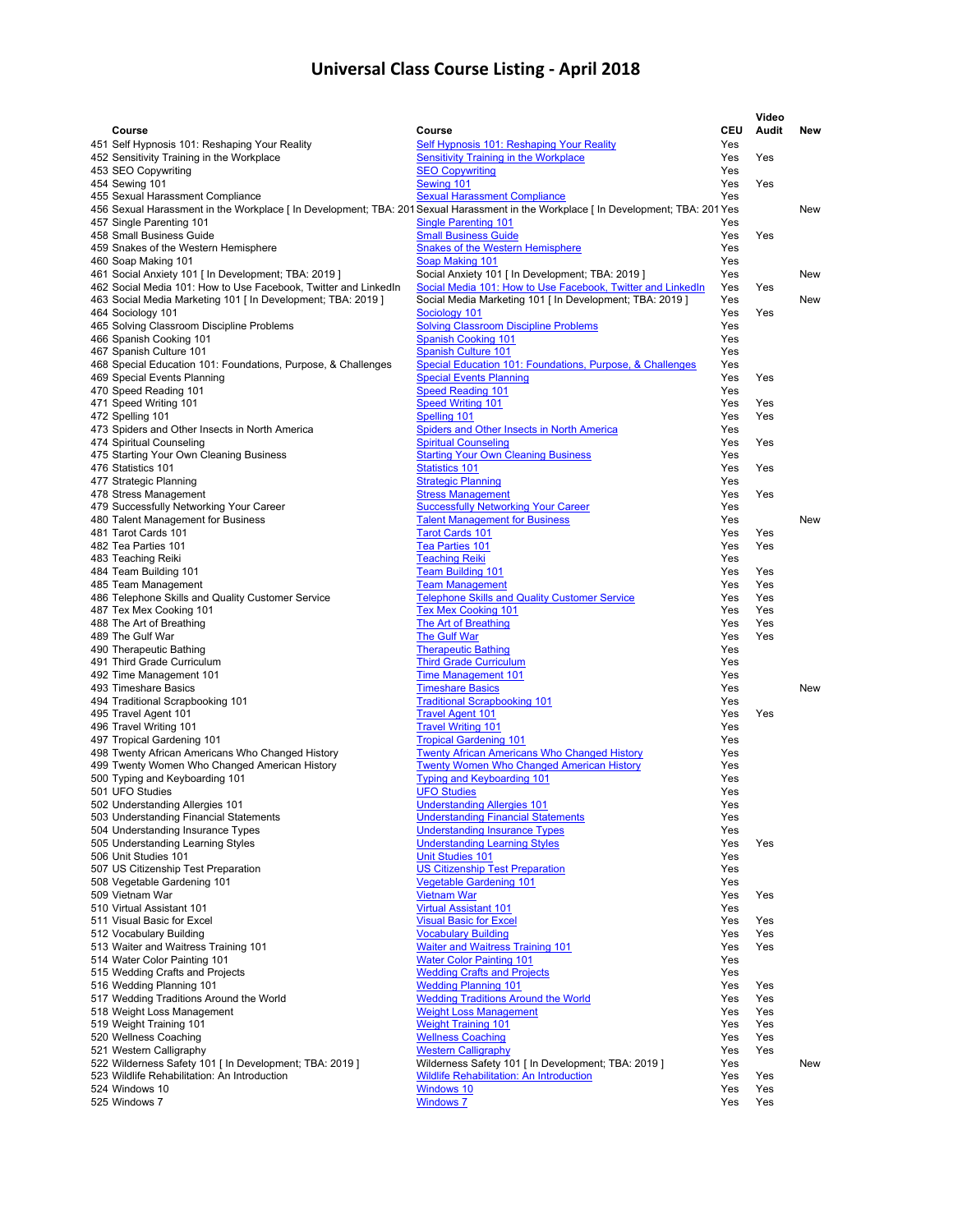|                                                                                                                                   |                                                                                                         |            | Video |            |
|-----------------------------------------------------------------------------------------------------------------------------------|---------------------------------------------------------------------------------------------------------|------------|-------|------------|
| Course                                                                                                                            | Course                                                                                                  | <b>CEU</b> | Audit | New        |
| 451 Self Hypnosis 101: Reshaping Your Reality                                                                                     | <b>Self Hypnosis 101: Reshaping Your Reality</b>                                                        | Yes        |       |            |
| 452 Sensitivity Training in the Workplace                                                                                         | Sensitivity Training in the Workplace<br><b>SEO Copywriting</b>                                         | Yes        | Yes   |            |
| 453 SEO Copywriting<br>454 Sewing 101                                                                                             | Sewing 101                                                                                              | Yes<br>Yes | Yes   |            |
| 455 Sexual Harassment Compliance                                                                                                  | <b>Sexual Harassment Compliance</b>                                                                     | Yes        |       |            |
| 456 Sexual Harassment in the Workplace [In Development; TBA: 201 Sexual Harassment in the Workplace [In Development; TBA: 201 Yes |                                                                                                         |            |       | New        |
| 457 Single Parenting 101                                                                                                          | <b>Single Parenting 101</b>                                                                             | Yes        |       |            |
| 458 Small Business Guide                                                                                                          | <b>Small Business Guide</b>                                                                             | Yes        | Yes   |            |
| 459 Snakes of the Western Hemisphere                                                                                              | <b>Snakes of the Western Hemisphere</b>                                                                 | Yes        |       |            |
| 460 Soap Making 101<br>461 Social Anxiety 101 [ In Development; TBA: 2019 ]                                                       | Soap Making 101<br>Social Anxiety 101 [ In Development; TBA: 2019 ]                                     | Yes<br>Yes |       | New        |
| 462 Social Media 101: How to Use Facebook, Twitter and LinkedIn                                                                   | Social Media 101: How to Use Facebook, Twitter and LinkedIn                                             | Yes        | Yes   |            |
| 463 Social Media Marketing 101 [ In Development; TBA: 2019 ]                                                                      | Social Media Marketing 101 [ In Development; TBA: 2019 ]                                                | Yes        |       | New        |
| 464 Sociology 101                                                                                                                 | Sociology 101                                                                                           | Yes        | Yes   |            |
| 465 Solving Classroom Discipline Problems                                                                                         | <b>Solving Classroom Discipline Problems</b>                                                            | Yes        |       |            |
| 466 Spanish Cooking 101                                                                                                           | <b>Spanish Cooking 101</b>                                                                              | Yes        |       |            |
| 467 Spanish Culture 101                                                                                                           | <b>Spanish Culture 101</b><br>Special Education 101: Foundations, Purpose, & Challenges                 | Yes<br>Yes |       |            |
| 468 Special Education 101: Foundations, Purpose, & Challenges<br>469 Special Events Planning                                      | <b>Special Events Planning</b>                                                                          | Yes        | Yes   |            |
| 470 Speed Reading 101                                                                                                             | <b>Speed Reading 101</b>                                                                                | Yes        |       |            |
| 471 Speed Writing 101                                                                                                             | <b>Speed Writing 101</b>                                                                                | Yes        | Yes   |            |
| 472 Spelling 101                                                                                                                  | Spelling 101                                                                                            | Yes        | Yes   |            |
| 473 Spiders and Other Insects in North America                                                                                    | Spiders and Other Insects in North America                                                              | Yes        |       |            |
| 474 Spiritual Counseling                                                                                                          | <b>Spiritual Counseling</b>                                                                             | Yes        | Yes   |            |
| 475 Starting Your Own Cleaning Business<br>476 Statistics 101                                                                     | <b>Starting Your Own Cleaning Business</b><br><b>Statistics 101</b>                                     | Yes<br>Yes | Yes   |            |
| 477 Strategic Planning                                                                                                            | <b>Strategic Planning</b>                                                                               | Yes        |       |            |
| 478 Stress Management                                                                                                             | <b>Stress Management</b>                                                                                | Yes        | Yes   |            |
| 479 Successfully Networking Your Career                                                                                           | <b>Successfully Networking Your Career</b>                                                              | Yes        |       |            |
| 480 Talent Management for Business                                                                                                | <b>Talent Management for Business</b>                                                                   | Yes        |       | <b>New</b> |
| 481 Tarot Cards 101                                                                                                               | <b>Tarot Cards 101</b>                                                                                  | Yes        | Yes   |            |
| 482 Tea Parties 101                                                                                                               | Tea Parties 101                                                                                         | Yes        | Yes   |            |
| 483 Teaching Reiki                                                                                                                | <b>Teaching Reiki</b><br><b>Team Building 101</b>                                                       | Yes<br>Yes | Yes   |            |
| 484 Team Building 101<br>485 Team Management                                                                                      | <b>Team Management</b>                                                                                  | Yes        | Yes   |            |
| 486 Telephone Skills and Quality Customer Service                                                                                 | <b>Telephone Skills and Quality Customer Service</b>                                                    | Yes        | Yes   |            |
| 487 Tex Mex Cooking 101                                                                                                           | <b>Tex Mex Cooking 101</b>                                                                              | Yes        | Yes   |            |
| 488 The Art of Breathing                                                                                                          | The Art of Breathing                                                                                    | Yes        | Yes   |            |
| 489 The Gulf War                                                                                                                  | <b>The Gulf War</b>                                                                                     | Yes        | Yes   |            |
| 490 Therapeutic Bathing                                                                                                           | <b>Therapeutic Bathing</b>                                                                              | Yes        |       |            |
| 491 Third Grade Curriculum<br>492 Time Management 101                                                                             | <b>Third Grade Curriculum</b><br><b>Time Management 101</b>                                             | Yes<br>Yes |       |            |
| 493 Timeshare Basics                                                                                                              | <b>Timeshare Basics</b>                                                                                 | Yes        |       | New        |
| 494 Traditional Scrapbooking 101                                                                                                  | <b>Traditional Scrapbooking 101</b>                                                                     | Yes        |       |            |
| 495 Travel Agent 101                                                                                                              | <b>Travel Agent 101</b>                                                                                 | Yes        | Yes   |            |
| 496 Travel Writing 101                                                                                                            | <b>Travel Writing 101</b>                                                                               | Yes        |       |            |
| 497 Tropical Gardening 101                                                                                                        | <b>Tropical Gardening 101</b>                                                                           | Yes        |       |            |
| 498 Twenty African Americans Who Changed History<br>499 Twenty Women Who Changed American History                                 | <b>Twenty African Americans Who Changed History</b><br><b>Twenty Women Who Changed American History</b> | Yes<br>Yes |       |            |
| 500 Typing and Keyboarding 101                                                                                                    | <b>Typing and Keyboarding 101</b>                                                                       | Yes        |       |            |
| 501 UFO Studies                                                                                                                   | <b>UFO Studies</b>                                                                                      | Yes        |       |            |
| 502 Understanding Allergies 101                                                                                                   | Understanding Allergies 101                                                                             | Yes        |       |            |
| 503 Understanding Financial Statements                                                                                            | <b>Understanding Financial Statements</b>                                                               | Yes        |       |            |
| 504 Understanding Insurance Types                                                                                                 | <b>Understanding Insurance Types</b>                                                                    | Yes        |       |            |
| 505 Understanding Learning Styles<br>506 Unit Studies 101                                                                         | <b>Understanding Learning Styles</b><br><b>Unit Studies 101</b>                                         | Yes<br>Yes | Yes   |            |
| 507 US Citizenship Test Preparation                                                                                               | <b>US Citizenship Test Preparation</b>                                                                  | Yes        |       |            |
| 508 Vegetable Gardening 101                                                                                                       | <b>Vegetable Gardening 101</b>                                                                          | Yes        |       |            |
| 509 Vietnam War                                                                                                                   | <b>Vietnam War</b>                                                                                      | Yes        | Yes   |            |
| 510 Virtual Assistant 101                                                                                                         | <b>Virtual Assistant 101</b>                                                                            | Yes        |       |            |
| 511 Visual Basic for Excel                                                                                                        | <b>Visual Basic for Excel</b>                                                                           | Yes        | Yes   |            |
| 512 Vocabulary Building                                                                                                           | <b>Vocabulary Building</b>                                                                              | Yes        | Yes   |            |
| 513 Waiter and Waitress Training 101                                                                                              | <b>Waiter and Waitress Training 101</b><br><b>Water Color Painting 101</b>                              | Yes        | Yes   |            |
| 514 Water Color Painting 101<br>515 Wedding Crafts and Projects                                                                   | <b>Wedding Crafts and Projects</b>                                                                      | Yes<br>Yes |       |            |
| 516 Wedding Planning 101                                                                                                          | <b>Wedding Planning 101</b>                                                                             | Yes        | Yes   |            |
| 517 Wedding Traditions Around the World                                                                                           | <b>Wedding Traditions Around the World</b>                                                              | Yes        | Yes   |            |
| 518 Weight Loss Management                                                                                                        | <b>Weight Loss Management</b>                                                                           | Yes        | Yes   |            |
| 519 Weight Training 101                                                                                                           | <b>Weight Training 101</b>                                                                              | Yes        | Yes   |            |
| 520 Wellness Coaching                                                                                                             | <b>Wellness Coaching</b>                                                                                | Yes        | Yes   |            |
| 521 Western Calligraphy<br>522 Wilderness Safety 101 [ In Development; TBA: 2019 ]                                                | <b>Western Calligraphy</b><br>Wilderness Safety 101 [ In Development; TBA: 2019 ]                       | Yes<br>Yes | Yes   | New        |
| 523 Wildlife Rehabilitation: An Introduction                                                                                      | Wildlife Rehabilitation: An Introduction                                                                | Yes        | Yes   |            |
| 524 Windows 10                                                                                                                    | <b>Windows 10</b>                                                                                       | Yes        | Yes   |            |
| 525 Windows 7                                                                                                                     | <b>Windows 7</b>                                                                                        | Yes        | Yes   |            |